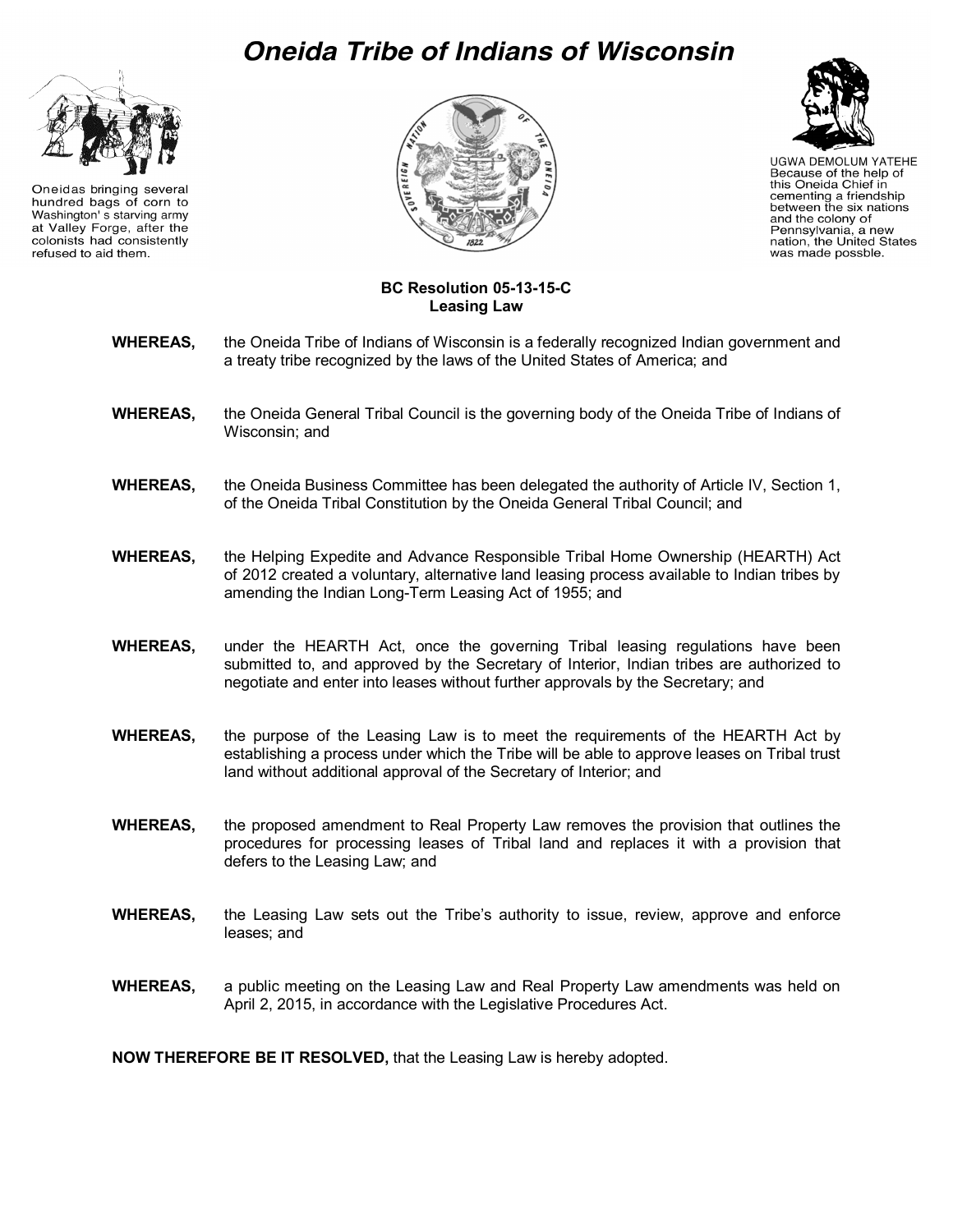# Oneida Tribe of Indians of Wisconsin



Oneidas bringing several hundred bags of corn to Washington' s starving army at Valley Forge, after the colonists had consistently refused to aid them.





**UGWA DEMOLUM YATEHE** Because of the help of this Oneida Chief in cementing a friendship between the six nations and the colony of Pennsylvania, a new nation, the United States was made possble.

#### **BC Resolution 05-13-15-C Leasing Law**

- **WHEREAS,** the Oneida Tribe of Indians of Wisconsin is a federally recognized Indian government and a treaty tribe recognized by the laws of the United States of America; and
- **WHEREAS,** the Oneida General Tribal Council is the governing body of the Oneida Tribe of Indians of Wisconsin; and
- **WHEREAS,** the Oneida Business Committee has been delegated the authority of Article IV, Section 1, of the Oneida Tribal Constitution by the Oneida General Tribal Council; and
- **WHEREAS,** the Helping Expedite and Advance Responsible Tribal Home Ownership (HEARTH) Act of 2012 created a voluntary, alternative land leasing process available to Indian tribes by amending the Indian Long-Term Leasing Act of 1955; and
- **WHEREAS,** under the HEARTH Act, once the governing Tribal leasing regulations have been submitted to, and approved by the Secretary of Interior, Indian tribes are authorized to negotiate and enter into leases without further approvals by the Secretary; and
- **WHEREAS,** the purpose of the Leasing Law is to meet the requirements of the HEARTH Act by establishing a process under which the Tribe will be able to approve leases on Tribal trust land without additional approval of the Secretary of Interior; and
- **WHEREAS,** the proposed amendment to Real Property Law removes the provision that outlines the procedures for processing leases of Tribal land and replaces it with a provision that defers to the Leasing Law; and
- **WHEREAS,** the Leasing Law sets out the Tribe's authority to issue, review, approve and enforce leases; and
- **WHEREAS,** a public meeting on the Leasing Law and Real Property Law amendments was held on April 2, 2015, in accordance with the Legislative Procedures Act.

**NOW THEREFORE BE IT RESOLVED,** that the Leasing Law is hereby adopted.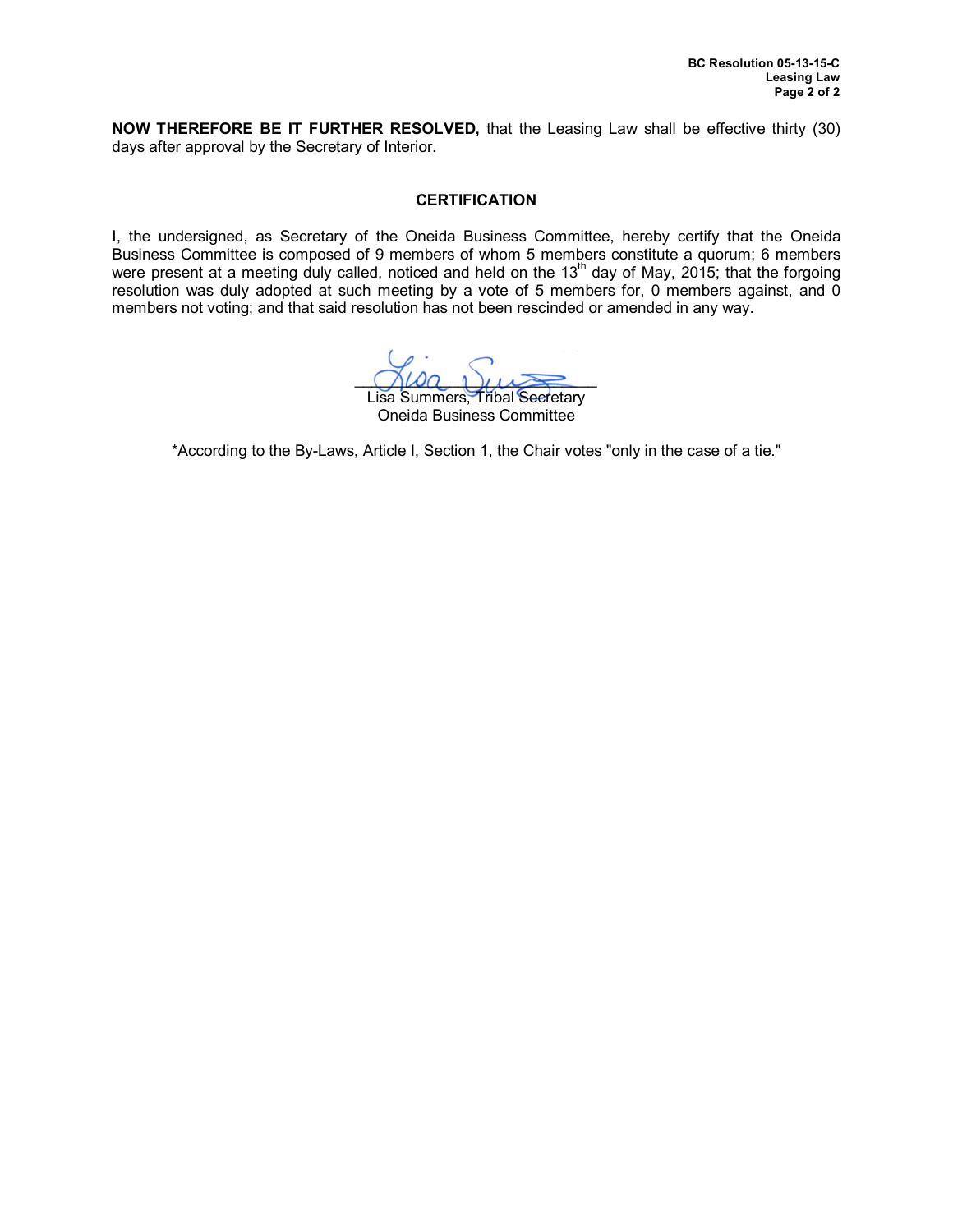**NOW THEREFORE BE IT FURTHER RESOLVED,** that the Leasing Law shall be effective thirty (30) days after approval by the Secretary of Interior.

### **CERTIFICATION**

I, the undersigned, as Secretary of the Oneida Business Committee, hereby certify that the Oneida Business Committee is composed of 9 members of whom 5 members constitute a quorum; 6 members were present at a meeting duly called, noticed and held on the 13<sup>th</sup> day of May, 2015; that the forgoing resolution was duly adopted at such meeting by a vote of 5 members for, 0 members against, and 0 members not voting; and that said resolution has not been rescinded or amended in any way.

 $\bigcap \omega a \cap \bigcup \omega \geq 0$ 

Lisa Summers, Tribal Secretary Oneida Business Committee

\*According to the By-Laws, Article I, Section 1, the Chair votes "only in the case of a tie."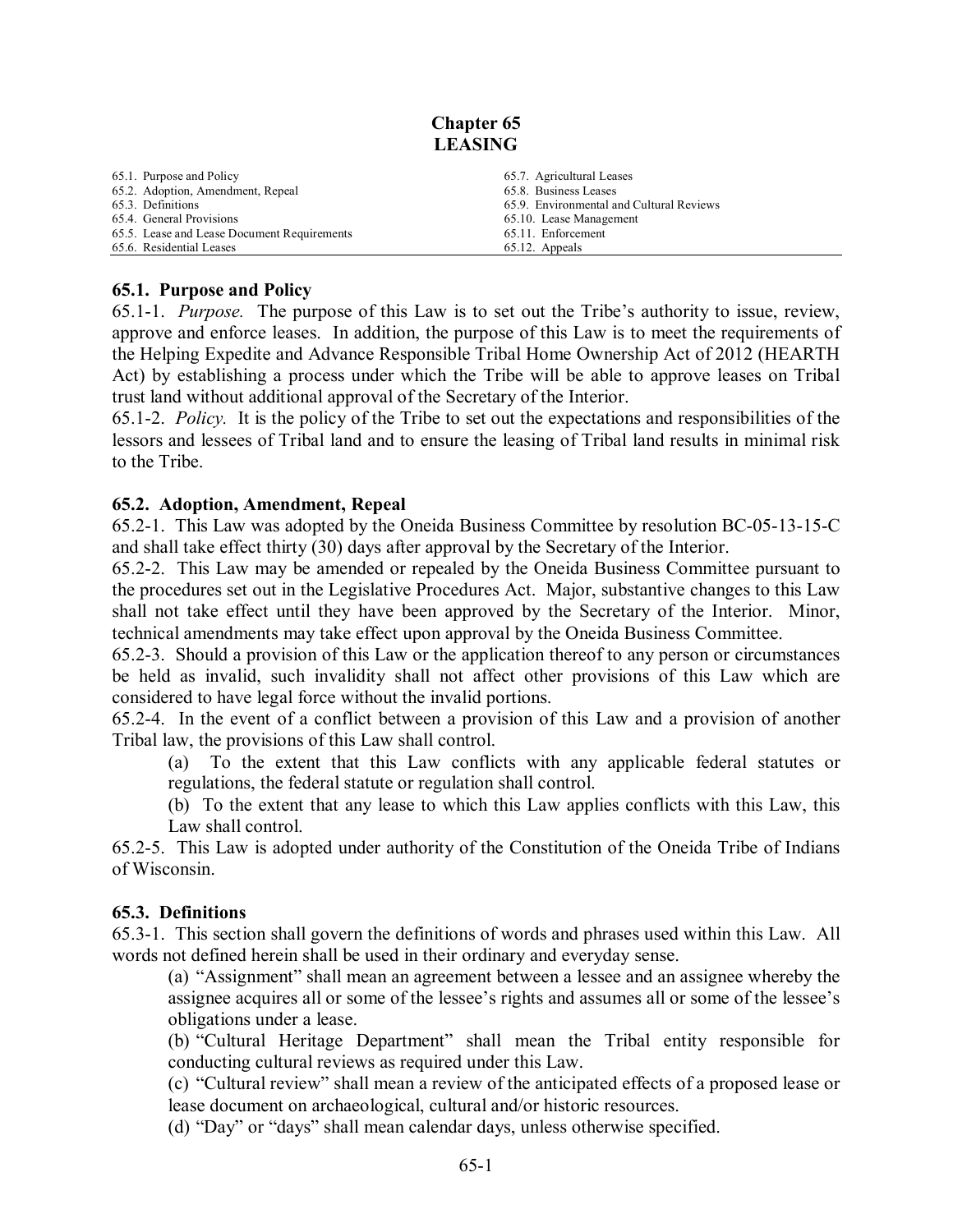## **Chapter 65 LEASING**

| 65.1. Purpose and Policy                    | 65.7. Agricultural Leases                |
|---------------------------------------------|------------------------------------------|
| 65.2. Adoption, Amendment, Repeal           | 65.8. Business Leases                    |
| 65.3. Definitions                           | 65.9. Environmental and Cultural Reviews |
| 65.4. General Provisions                    | 65.10. Lease Management                  |
| 65.5. Lease and Lease Document Requirements | 65.11. Enforcement                       |
| 65.6. Residential Leases                    | 65.12. Appeals                           |

## **65.1. Purpose and Policy**

65.1-1. *Purpose.* The purpose of this Law is to set out the Tribe's authority to issue, review, approve and enforce leases. In addition, the purpose of this Law is to meet the requirements of the Helping Expedite and Advance Responsible Tribal Home Ownership Act of 2012 (HEARTH Act) by establishing a process under which the Tribe will be able to approve leases on Tribal trust land without additional approval of the Secretary of the Interior.

65.1-2. *Policy.* It is the policy of the Tribe to set out the expectations and responsibilities of the lessors and lessees of Tribal land and to ensure the leasing of Tribal land results in minimal risk to the Tribe.

## **65.2. Adoption, Amendment, Repeal**

65.2-1. This Law was adopted by the Oneida Business Committee by resolution BC-05-13-15-C and shall take effect thirty (30) days after approval by the Secretary of the Interior.

65.2-2. This Law may be amended or repealed by the Oneida Business Committee pursuant to the procedures set out in the Legislative Procedures Act. Major, substantive changes to this Law shall not take effect until they have been approved by the Secretary of the Interior. Minor, technical amendments may take effect upon approval by the Oneida Business Committee.

65.2-3. Should a provision of this Law or the application thereof to any person or circumstances be held as invalid, such invalidity shall not affect other provisions of this Law which are considered to have legal force without the invalid portions.

65.2-4. In the event of a conflict between a provision of this Law and a provision of another Tribal law, the provisions of this Law shall control.

(a) To the extent that this Law conflicts with any applicable federal statutes or regulations, the federal statute or regulation shall control.

(b) To the extent that any lease to which this Law applies conflicts with this Law, this Law shall control.

65.2-5. This Law is adopted under authority of the Constitution of the Oneida Tribe of Indians of Wisconsin.

## **65.3. Definitions**

65.3-1. This section shall govern the definitions of words and phrases used within this Law. All words not defined herein shall be used in their ordinary and everyday sense.

(a) "Assignment" shall mean an agreement between a lessee and an assignee whereby the assignee acquires all or some of the lessee's rights and assumes all or some of the lessee's obligations under a lease.

(b) "Cultural Heritage Department" shall mean the Tribal entity responsible for conducting cultural reviews as required under this Law.

(c) "Cultural review" shall mean a review of the anticipated effects of a proposed lease or lease document on archaeological, cultural and/or historic resources.

(d) "Day" or "days" shall mean calendar days, unless otherwise specified.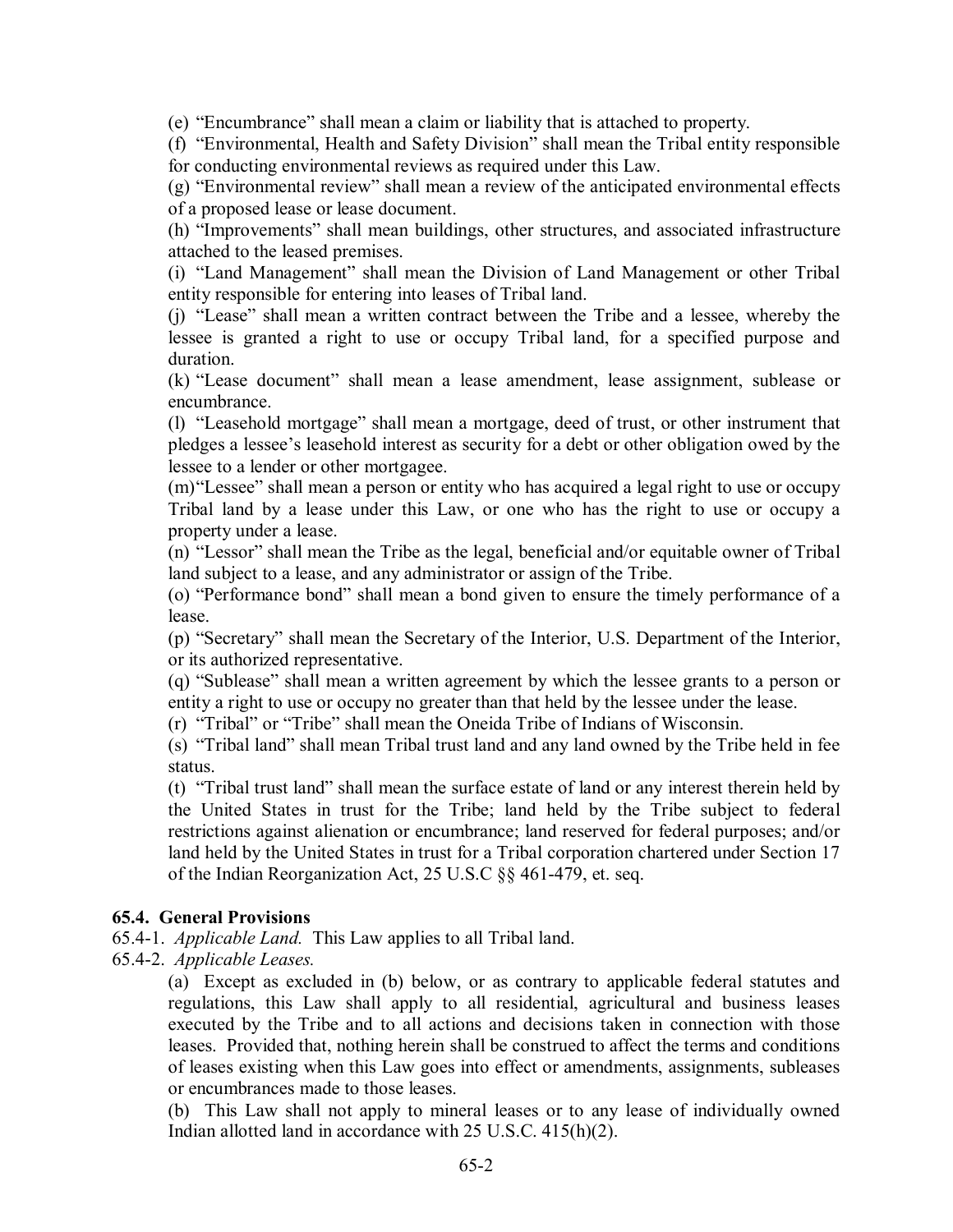(e) "Encumbrance" shall mean a claim or liability that is attached to property.

(f) "Environmental, Health and Safety Division" shall mean the Tribal entity responsible for conducting environmental reviews as required under this Law.

(g) "Environmental review" shall mean a review of the anticipated environmental effects of a proposed lease or lease document.

(h) "Improvements" shall mean buildings, other structures, and associated infrastructure attached to the leased premises.

(i) "Land Management" shall mean the Division of Land Management or other Tribal entity responsible for entering into leases of Tribal land.

(j) "Lease" shall mean a written contract between the Tribe and a lessee, whereby the lessee is granted a right to use or occupy Tribal land, for a specified purpose and duration.

(k) "Lease document" shall mean a lease amendment, lease assignment, sublease or encumbrance.

(l) "Leasehold mortgage" shall mean a mortgage, deed of trust, or other instrument that pledges a lessee's leasehold interest as security for a debt or other obligation owed by the lessee to a lender or other mortgagee.

(m)"Lessee" shall mean a person or entity who has acquired a legal right to use or occupy Tribal land by a lease under this Law, or one who has the right to use or occupy a property under a lease.

(n) "Lessor" shall mean the Tribe as the legal, beneficial and/or equitable owner of Tribal land subject to a lease, and any administrator or assign of the Tribe.

(o) "Performance bond" shall mean a bond given to ensure the timely performance of a lease.

(p) "Secretary" shall mean the Secretary of the Interior, U.S. Department of the Interior, or its authorized representative.

(q) "Sublease" shall mean a written agreement by which the lessee grants to a person or entity a right to use or occupy no greater than that held by the lessee under the lease.

(r) "Tribal" or "Tribe" shall mean the Oneida Tribe of Indians of Wisconsin.

(s) "Tribal land" shall mean Tribal trust land and any land owned by the Tribe held in fee status.

(t) "Tribal trust land" shall mean the surface estate of land or any interest therein held by the United States in trust for the Tribe; land held by the Tribe subject to federal restrictions against alienation or encumbrance; land reserved for federal purposes; and/or land held by the United States in trust for a Tribal corporation chartered under Section 17 of the Indian Reorganization Act, 25 U.S.C §§ 461-479, et. seq.

## **65.4. General Provisions**

65.4-1. *Applicable Land.* This Law applies to all Tribal land.

65.4-2. *Applicable Leases.*

(a) Except as excluded in (b) below, or as contrary to applicable federal statutes and regulations, this Law shall apply to all residential, agricultural and business leases executed by the Tribe and to all actions and decisions taken in connection with those leases. Provided that, nothing herein shall be construed to affect the terms and conditions of leases existing when this Law goes into effect or amendments, assignments, subleases or encumbrances made to those leases.

(b) This Law shall not apply to mineral leases or to any lease of individually owned Indian allotted land in accordance with 25 U.S.C. 415(h)(2).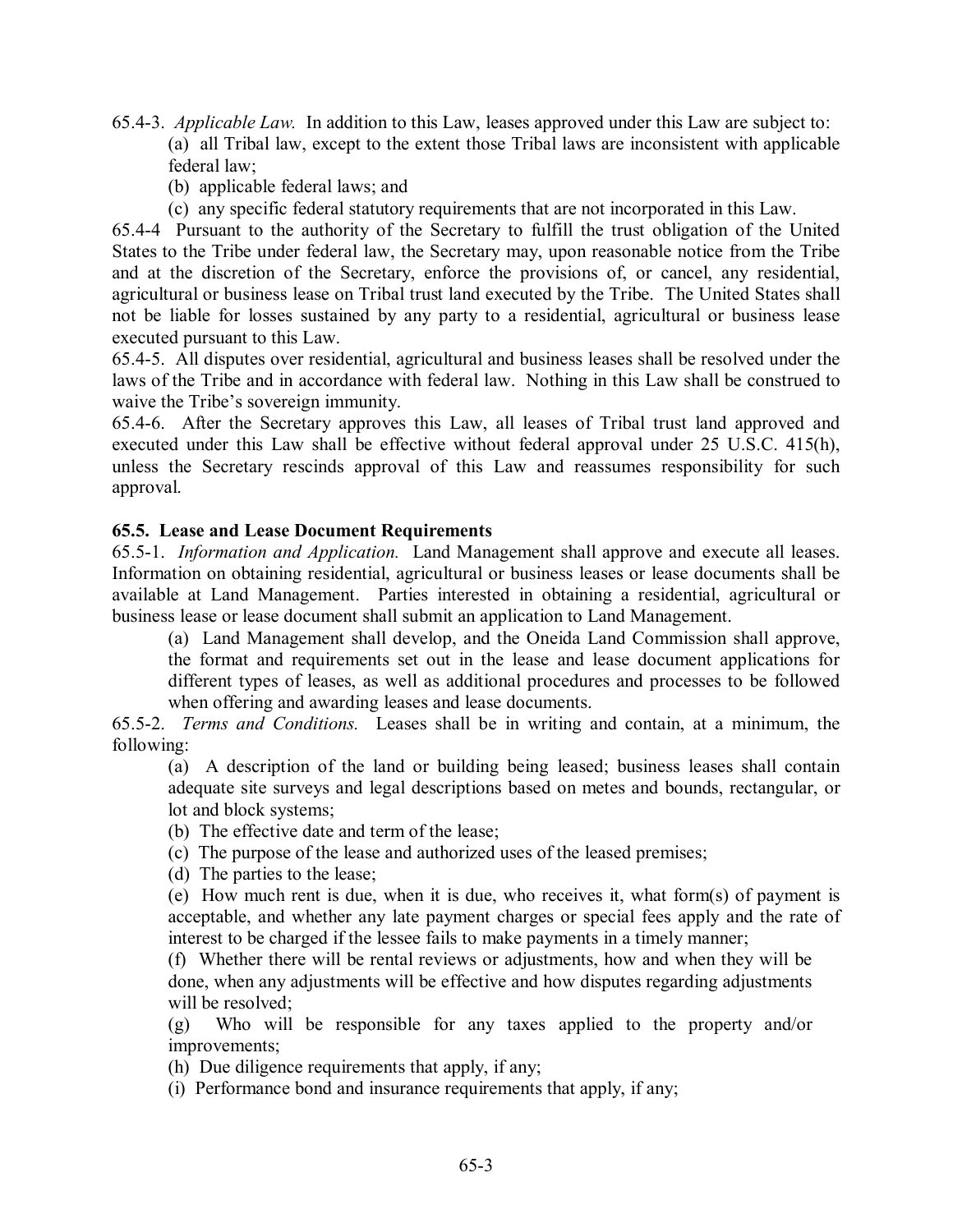65.4-3. *Applicable Law.* In addition to this Law, leases approved under this Law are subject to: (a) all Tribal law, except to the extent those Tribal laws are inconsistent with applicable federal law;

- (b) applicable federal laws; and
- (c) any specific federal statutory requirements that are not incorporated in this Law.

65.4-4 Pursuant to the authority of the Secretary to fulfill the trust obligation of the United States to the Tribe under federal law, the Secretary may, upon reasonable notice from the Tribe and at the discretion of the Secretary, enforce the provisions of, or cancel, any residential, agricultural or business lease on Tribal trust land executed by the Tribe. The United States shall not be liable for losses sustained by any party to a residential, agricultural or business lease executed pursuant to this Law.

65.4-5. All disputes over residential, agricultural and business leases shall be resolved under the laws of the Tribe and in accordance with federal law. Nothing in this Law shall be construed to waive the Tribe's sovereign immunity.

65.4-6. After the Secretary approves this Law, all leases of Tribal trust land approved and executed under this Law shall be effective without federal approval under 25 U.S.C. 415(h), unless the Secretary rescinds approval of this Law and reassumes responsibility for such approval.

## **65.5. Lease and Lease Document Requirements**

65.5-1. *Information and Application.* Land Management shall approve and execute all leases. Information on obtaining residential, agricultural or business leases or lease documents shall be available at Land Management. Parties interested in obtaining a residential, agricultural or business lease or lease document shall submit an application to Land Management.

(a) Land Management shall develop, and the Oneida Land Commission shall approve, the format and requirements set out in the lease and lease document applications for different types of leases, as well as additional procedures and processes to be followed when offering and awarding leases and lease documents.

65.5-2. *Terms and Conditions.* Leases shall be in writing and contain, at a minimum, the following:

(a) A description of the land or building being leased; business leases shall contain adequate site surveys and legal descriptions based on metes and bounds, rectangular, or lot and block systems;

- (b) The effective date and term of the lease;
- (c) The purpose of the lease and authorized uses of the leased premises;
- (d) The parties to the lease;

(e) How much rent is due, when it is due, who receives it, what form(s) of payment is acceptable, and whether any late payment charges or special fees apply and the rate of interest to be charged if the lessee fails to make payments in a timely manner;

(f) Whether there will be rental reviews or adjustments, how and when they will be done, when any adjustments will be effective and how disputes regarding adjustments will be resolved;

(g) Who will be responsible for any taxes applied to the property and/or improvements;

(h) Due diligence requirements that apply, if any;

(i) Performance bond and insurance requirements that apply, if any;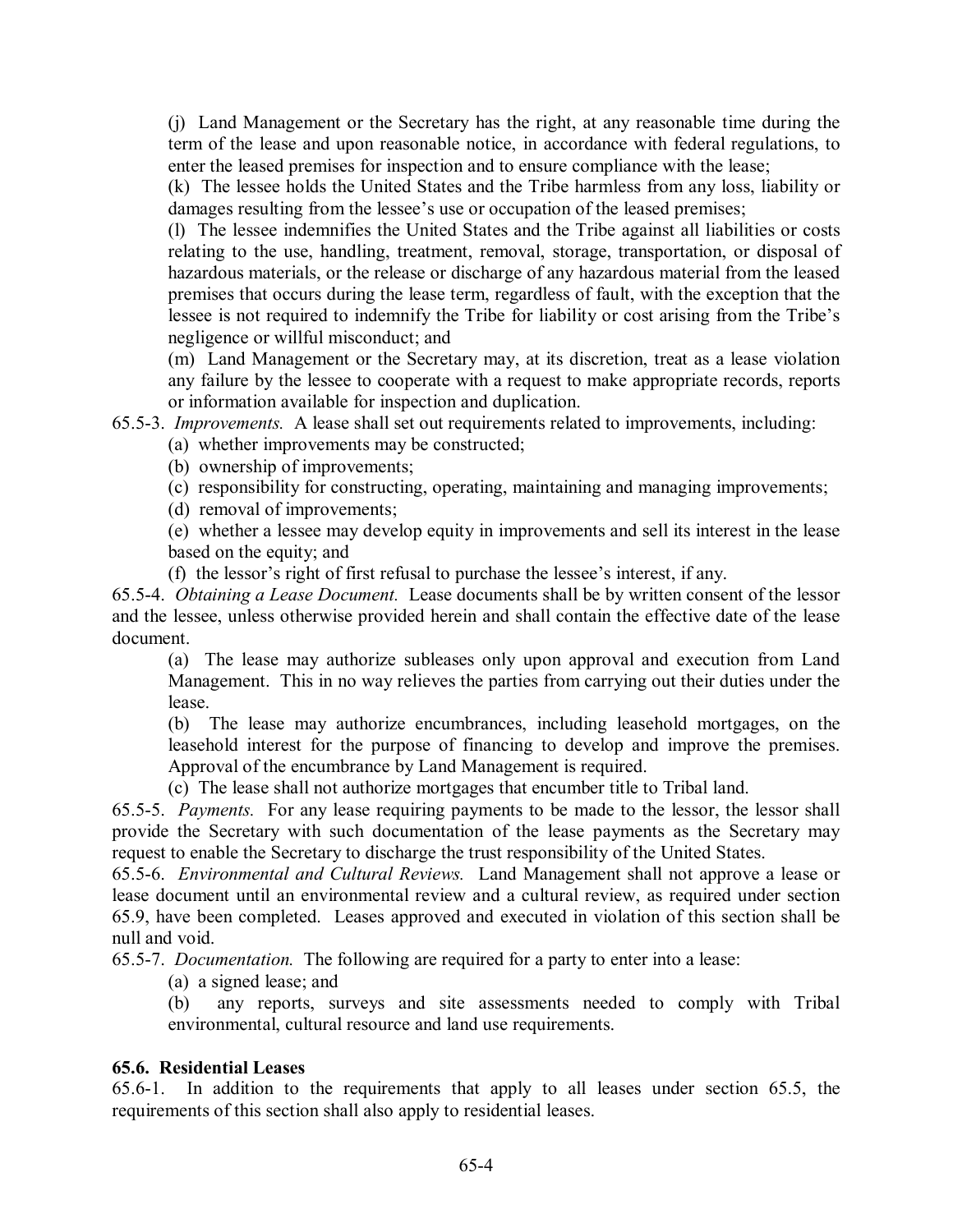(j) Land Management or the Secretary has the right, at any reasonable time during the term of the lease and upon reasonable notice, in accordance with federal regulations, to enter the leased premises for inspection and to ensure compliance with the lease;

(k) The lessee holds the United States and the Tribe harmless from any loss, liability or damages resulting from the lessee's use or occupation of the leased premises;

(l) The lessee indemnifies the United States and the Tribe against all liabilities or costs relating to the use, handling, treatment, removal, storage, transportation, or disposal of hazardous materials, or the release or discharge of any hazardous material from the leased premises that occurs during the lease term, regardless of fault, with the exception that the lessee is not required to indemnify the Tribe for liability or cost arising from the Tribe's negligence or willful misconduct; and

(m) Land Management or the Secretary may, at its discretion, treat as a lease violation any failure by the lessee to cooperate with a request to make appropriate records, reports or information available for inspection and duplication.

65.5-3. *Improvements.* A lease shall set out requirements related to improvements, including:

(a) whether improvements may be constructed;

(b) ownership of improvements;

(c) responsibility for constructing, operating, maintaining and managing improvements;

(d) removal of improvements;

(e) whether a lessee may develop equity in improvements and sell its interest in the lease based on the equity; and

(f) the lessor's right of first refusal to purchase the lessee's interest, if any.

65.5-4. *Obtaining a Lease Document.* Lease documents shall be by written consent of the lessor and the lessee, unless otherwise provided herein and shall contain the effective date of the lease document.

(a) The lease may authorize subleases only upon approval and execution from Land Management. This in no way relieves the parties from carrying out their duties under the lease.

(b) The lease may authorize encumbrances, including leasehold mortgages, on the leasehold interest for the purpose of financing to develop and improve the premises. Approval of the encumbrance by Land Management is required.

(c) The lease shall not authorize mortgages that encumber title to Tribal land.

65.5-5. *Payments.* For any lease requiring payments to be made to the lessor, the lessor shall provide the Secretary with such documentation of the lease payments as the Secretary may request to enable the Secretary to discharge the trust responsibility of the United States.

65.5-6. *Environmental and Cultural Reviews.* Land Management shall not approve a lease or lease document until an environmental review and a cultural review, as required under section 65.9, have been completed. Leases approved and executed in violation of this section shall be null and void.

65.5-7. *Documentation.* The following are required for a party to enter into a lease:

(a) a signed lease; and

(b) any reports, surveys and site assessments needed to comply with Tribal environmental, cultural resource and land use requirements.

## **65.6. Residential Leases**

65.6-1. In addition to the requirements that apply to all leases under section 65.5, the requirements of this section shall also apply to residential leases.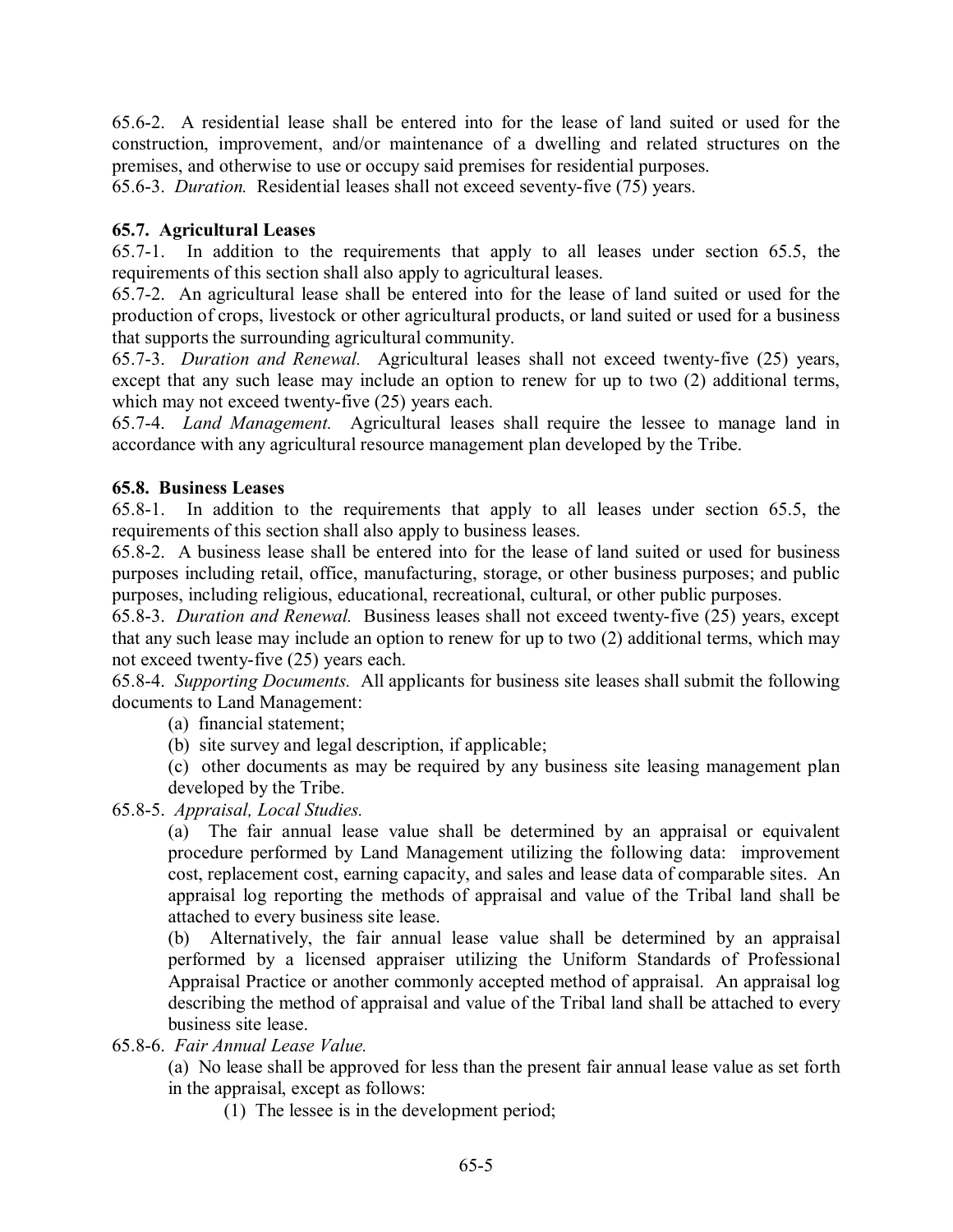65.6-2. A residential lease shall be entered into for the lease of land suited or used for the construction, improvement, and/or maintenance of a dwelling and related structures on the premises, and otherwise to use or occupy said premises for residential purposes.

65.6-3. *Duration.* Residential leases shall not exceed seventy-five (75) years.

## **65.7. Agricultural Leases**

65.7-1. In addition to the requirements that apply to all leases under section 65.5, the requirements of this section shall also apply to agricultural leases.

65.7-2. An agricultural lease shall be entered into for the lease of land suited or used for the production of crops, livestock or other agricultural products, or land suited or used for a business that supports the surrounding agricultural community.

65.7-3. *Duration and Renewal.* Agricultural leases shall not exceed twenty-five (25) years, except that any such lease may include an option to renew for up to two (2) additional terms, which may not exceed twenty-five  $(25)$  years each.

65.7-4. *Land Management.* Agricultural leases shall require the lessee to manage land in accordance with any agricultural resource management plan developed by the Tribe.

## **65.8. Business Leases**

65.8-1. In addition to the requirements that apply to all leases under section 65.5, the requirements of this section shall also apply to business leases.

65.8-2. A business lease shall be entered into for the lease of land suited or used for business purposes including retail, office, manufacturing, storage, or other business purposes; and public purposes, including religious, educational, recreational, cultural, or other public purposes.

65.8-3. *Duration and Renewal.* Business leases shall not exceed twenty-five (25) years, except that any such lease may include an option to renew for up to two (2) additional terms, which may not exceed twenty-five (25) years each.

65.8-4. *Supporting Documents.* All applicants for business site leases shall submit the following documents to Land Management:

- (a) financial statement;
- (b) site survey and legal description, if applicable;

(c) other documents as may be required by any business site leasing management plan developed by the Tribe.

65.8-5. *Appraisal, Local Studies.*

(a) The fair annual lease value shall be determined by an appraisal or equivalent procedure performed by Land Management utilizing the following data: improvement cost, replacement cost, earning capacity, and sales and lease data of comparable sites. An appraisal log reporting the methods of appraisal and value of the Tribal land shall be attached to every business site lease.

(b) Alternatively, the fair annual lease value shall be determined by an appraisal performed by a licensed appraiser utilizing the Uniform Standards of Professional Appraisal Practice or another commonly accepted method of appraisal. An appraisal log describing the method of appraisal and value of the Tribal land shall be attached to every business site lease.

65.8-6. *Fair Annual Lease Value.*

(a) No lease shall be approved for less than the present fair annual lease value as set forth in the appraisal, except as follows:

(1) The lessee is in the development period;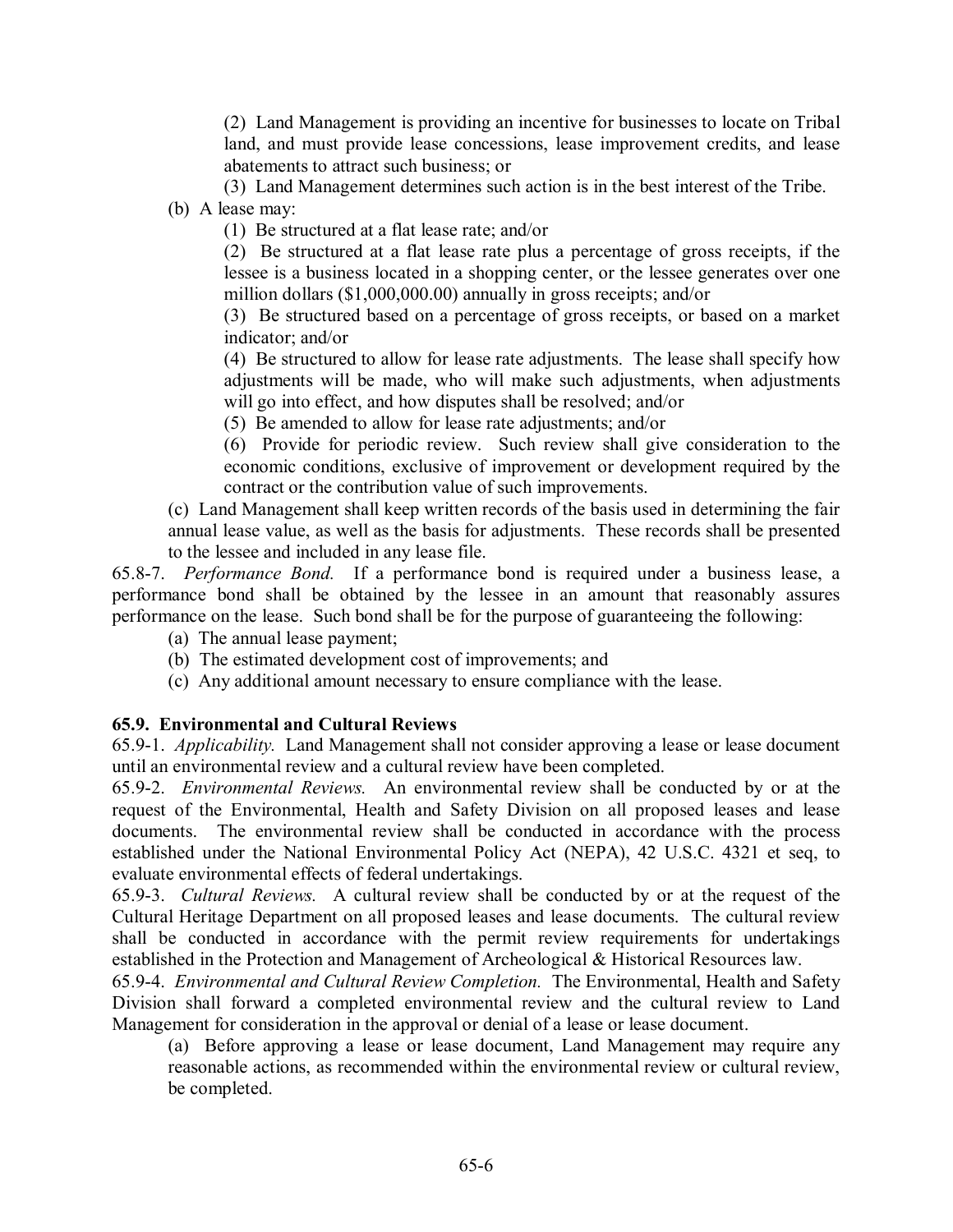(2) Land Management is providing an incentive for businesses to locate on Tribal land, and must provide lease concessions, lease improvement credits, and lease abatements to attract such business; or

(3) Land Management determines such action is in the best interest of the Tribe.

(b) A lease may:

(1) Be structured at a flat lease rate; and/or

(2) Be structured at a flat lease rate plus a percentage of gross receipts, if the lessee is a business located in a shopping center, or the lessee generates over one million dollars (\$1,000,000.00) annually in gross receipts; and/or

(3) Be structured based on a percentage of gross receipts, or based on a market indicator; and/or

(4) Be structured to allow for lease rate adjustments. The lease shall specify how adjustments will be made, who will make such adjustments, when adjustments will go into effect, and how disputes shall be resolved; and/or

(5) Be amended to allow for lease rate adjustments; and/or

(6) Provide for periodic review. Such review shall give consideration to the economic conditions, exclusive of improvement or development required by the contract or the contribution value of such improvements.

(c) Land Management shall keep written records of the basis used in determining the fair annual lease value, as well as the basis for adjustments. These records shall be presented to the lessee and included in any lease file.

65.8-7. *Performance Bond.* If a performance bond is required under a business lease, a performance bond shall be obtained by the lessee in an amount that reasonably assures performance on the lease. Such bond shall be for the purpose of guaranteeing the following:

- (a) The annual lease payment;
- (b) The estimated development cost of improvements; and
- (c) Any additional amount necessary to ensure compliance with the lease.

## **65.9. Environmental and Cultural Reviews**

65.9-1. *Applicability.* Land Management shall not consider approving a lease or lease document until an environmental review and a cultural review have been completed.

65.9-2. *Environmental Reviews.* An environmental review shall be conducted by or at the request of the Environmental, Health and Safety Division on all proposed leases and lease documents. The environmental review shall be conducted in accordance with the process established under the National Environmental Policy Act (NEPA), 42 U.S.C. 4321 et seq, to evaluate environmental effects of federal undertakings.

65.9-3. *Cultural Reviews.* A cultural review shall be conducted by or at the request of the Cultural Heritage Department on all proposed leases and lease documents. The cultural review shall be conducted in accordance with the permit review requirements for undertakings established in the Protection and Management of Archeological & Historical Resources law.

65.9-4. *Environmental and Cultural Review Completion.* The Environmental, Health and Safety Division shall forward a completed environmental review and the cultural review to Land Management for consideration in the approval or denial of a lease or lease document.

(a) Before approving a lease or lease document, Land Management may require any reasonable actions, as recommended within the environmental review or cultural review, be completed.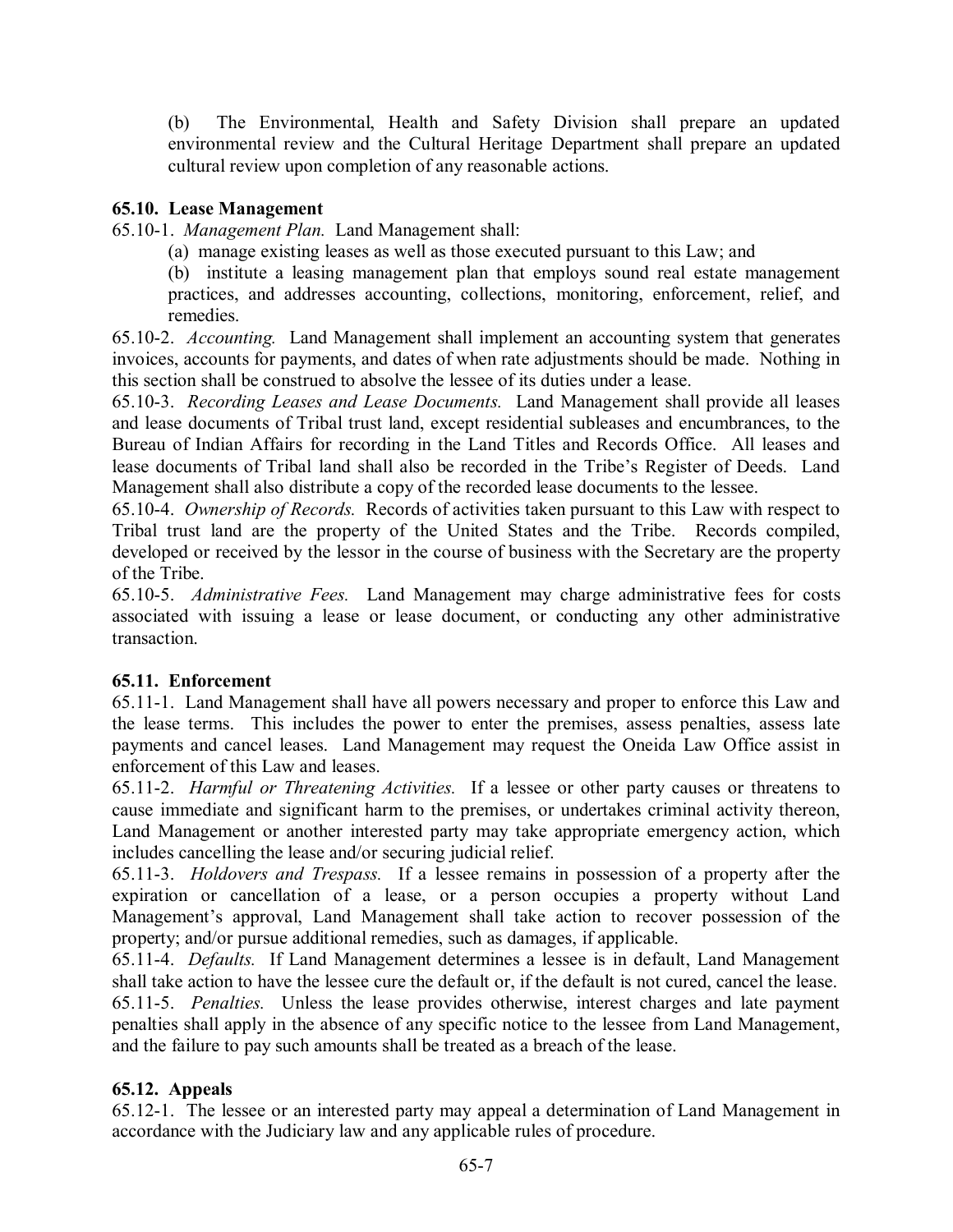(b) The Environmental, Health and Safety Division shall prepare an updated environmental review and the Cultural Heritage Department shall prepare an updated cultural review upon completion of any reasonable actions.

## **65.10. Lease Management**

65.10-1. *Management Plan.* Land Management shall:

(a) manage existing leases as well as those executed pursuant to this Law; and

(b) institute a leasing management plan that employs sound real estate management practices, and addresses accounting, collections, monitoring, enforcement, relief, and remedies.

65.10-2. *Accounting.* Land Management shall implement an accounting system that generates invoices, accounts for payments, and dates of when rate adjustments should be made. Nothing in this section shall be construed to absolve the lessee of its duties under a lease.

65.10-3. *Recording Leases and Lease Documents.* Land Management shall provide all leases and lease documents of Tribal trust land, except residential subleases and encumbrances, to the Bureau of Indian Affairs for recording in the Land Titles and Records Office. All leases and lease documents of Tribal land shall also be recorded in the Tribe's Register of Deeds. Land Management shall also distribute a copy of the recorded lease documents to the lessee.

65.10-4. *Ownership of Records.* Records of activities taken pursuant to this Law with respect to Tribal trust land are the property of the United States and the Tribe. Records compiled, developed or received by the lessor in the course of business with the Secretary are the property of the Tribe.

65.10-5. *Administrative Fees.* Land Management may charge administrative fees for costs associated with issuing a lease or lease document, or conducting any other administrative transaction.

# **65.11. Enforcement**

65.11-1. Land Management shall have all powers necessary and proper to enforce this Law and the lease terms. This includes the power to enter the premises, assess penalties, assess late payments and cancel leases. Land Management may request the Oneida Law Office assist in enforcement of this Law and leases.

65.11-2. *Harmful or Threatening Activities.* If a lessee or other party causes or threatens to cause immediate and significant harm to the premises, or undertakes criminal activity thereon, Land Management or another interested party may take appropriate emergency action, which includes cancelling the lease and/or securing judicial relief.

65.11-3. *Holdovers and Trespass.* If a lessee remains in possession of a property after the expiration or cancellation of a lease, or a person occupies a property without Land Management's approval, Land Management shall take action to recover possession of the property; and/or pursue additional remedies, such as damages, if applicable.

65.11-4. *Defaults.* If Land Management determines a lessee is in default, Land Management shall take action to have the lessee cure the default or, if the default is not cured, cancel the lease.

65.11-5. *Penalties.* Unless the lease provides otherwise, interest charges and late payment penalties shall apply in the absence of any specific notice to the lessee from Land Management, and the failure to pay such amounts shall be treated as a breach of the lease.

# **65.12. Appeals**

65.12-1. The lessee or an interested party may appeal a determination of Land Management in accordance with the Judiciary law and any applicable rules of procedure.